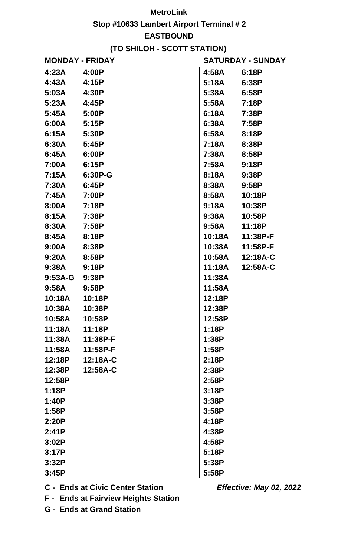## **MetroLink**

**Stop #10633 Lambert Airport Terminal # 2**

## **EASTBOUND**

## **(TO SHILOH - SCOTT STATION)**

| <u> MONDAY - FRIDAY</u> |          | <u>SATURDAY - SUNDAY</u> |          |
|-------------------------|----------|--------------------------|----------|
| 4:23A                   | 4:00P    | 4:58A                    | 6:18P    |
| 4:43A                   | 4:15P    | 5:18A                    | 6:38P    |
| 5:03A                   | 4:30P    | 5:38A                    | 6:58P    |
| 5:23A                   | 4:45P    | 5:58A                    | 7:18P    |
| 5:45A                   | 5:00P    | 6:18A                    | 7:38P    |
| 6:00A                   | 5:15P    | 6:38A                    | 7:58P    |
| 6:15A                   | 5:30P    | 6:58A                    | 8:18P    |
| 6:30A                   | 5:45P    | 7:18A                    | 8:38P    |
| 6:45A                   | 6:00P    | 7:38A                    | 8:58P    |
| 7:00A                   | 6:15P    | 7:58A                    | 9:18P    |
| 7:15A                   | 6:30P-G  | 8:18A                    | 9:38P    |
| 7:30A                   | 6:45P    | 8:38A                    | 9:58P    |
| 7:45A                   | 7:00P    | 8:58A                    | 10:18P   |
| 8:00A                   | 7:18P    | 9:18A                    | 10:38P   |
| 8:15A                   | 7:38P    | 9:38A                    | 10:58P   |
| 8:30A                   | 7:58P    | 9:58A                    | 11:18P   |
| 8:45A                   | 8:18P    | 10:18A                   | 11:38P-F |
| 9:00A                   | 8:38P    | 10:38A                   | 11:58P-F |
| 9:20A                   | 8:58P    | 10:58A                   | 12:18A-C |
| 9:38A                   | 9:18P    | 11:18A                   | 12:58A-C |
| $9:53A-G$               | 9:38P    | 11:38A                   |          |
| 9:58A                   | 9:58P    | 11:58A                   |          |
| 10:18A                  | 10:18P   | 12:18P                   |          |
| 10:38A                  | 10:38P   | 12:38P                   |          |
| 10:58A                  | 10:58P   | 12:58P                   |          |
| 11:18A                  | 11:18P   | 1:18P                    |          |
| 11:38A                  | 11:38P-F | 1:38P                    |          |
| 11:58A                  | 11:58P-F | 1:58P                    |          |
| 12:18P                  | 12:18A-C | 2:18P                    |          |
| 12:38P                  | 12:58A-C | 2:38P                    |          |
| 12:58P                  |          | 2:58P                    |          |
| 1:18P                   |          | 3:18P                    |          |
| 1:40P                   |          | 3:38P                    |          |
| 1:58P                   |          | 3:58P                    |          |
| 2:20P                   |          | 4:18P                    |          |
| 2:41P                   |          | 4:38P                    |          |
| 3:02P                   |          | 4:58P                    |          |
| 3:17P                   |          | 5:18P                    |          |
| 3:32P                   |          | 5:38P                    |          |
| 3:45P                   |          | 5:58P                    |          |
|                         |          |                          |          |

**C - Ends at Civic Center Station**

**Effective: May 02, 2022**

**F - Ends at Fairview Heights Station**

**G - Ends at Grand Station**